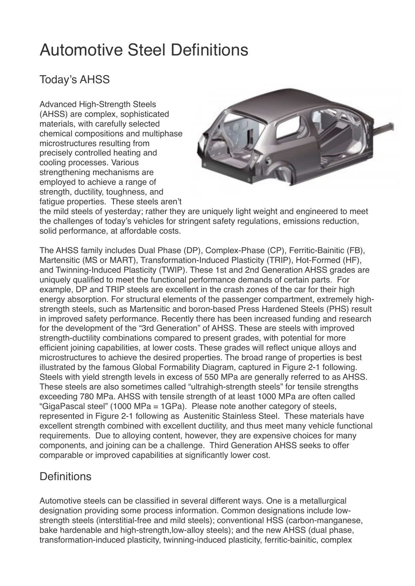# Automotive Steel Definitions

# Today's AHSS

Advanced High-Strength Steels (AHSS) are complex, sophisticated materials, with carefully selected chemical compositions and multiphase microstructures resulting from precisely controlled heating and cooling processes. Various strengthening mechanisms are employed to achieve a range of strength, ductility, toughness, and fatigue properties. These steels aren't



the mild steels of yesterday; rather they are uniquely light weight and engineered to meet the challenges of today's vehicles for stringent safety regulations, emissions reduction, solid performance, at affordable costs.

The AHSS family includes Dual Phase (DP), Complex-Phase (CP), Ferritic-Bainitic (FB), Martensitic (MS or MART), Transformation-Induced Plasticity (TRIP), Hot-Formed (HF), and Twinning-Induced Plasticity (TWIP). These 1st and 2nd Generation AHSS grades are uniquely qualified to meet the functional performance demands of certain parts. For example, DP and TRIP steels are excellent in the crash zones of the car for their high energy absorption. For structural elements of the passenger compartment, extremely highstrength steels, such as Martensitic and boron-based Press Hardened Steels (PHS) result in improved safety performance. Recently there has been increased funding and research for the development of the "3rd Generation" of AHSS. These are steels with improved strength-ductility combinations compared to present grades, with potential for more efficient joining capabilities, at lower costs. These grades will reflect unique alloys and microstructures to achieve the desired properties. The broad range of properties is best illustrated by the famous Global Formability Diagram, captured in Figure 2-1 following. Steels with yield strength levels in excess of 550 MPa are generally referred to as AHSS. These steels are also sometimes called "ultrahigh-strength steels" for tensile strengths exceeding 780 MPa. AHSS with tensile strength of at least 1000 MPa are often called "GigaPascal steel" (1000 MPa = 1GPa). Please note another category of steels, represented in Figure 2-1 following as Austenitic Stainless Steel. These materials have excellent strength combined with excellent ductility, and thus meet many vehicle functional requirements. Due to alloying content, however, they are expensive choices for many components, and joining can be a challenge. Third Generation AHSS seeks to offer comparable or improved capabilities at significantly lower cost.

### **Definitions**

Automotive steels can be classified in several different ways. One is a metallurgical designation providing some process information. Common designations include lowstrength steels (interstitial-free and mild steels); conventional HSS (carbon-manganese, bake hardenable and high-strength,low-alloy steels); and the new AHSS (dual phase, transformation-induced plasticity, twinning-induced plasticity, ferritic-bainitic, complex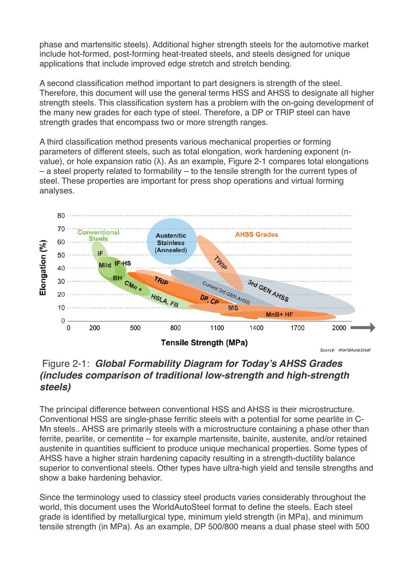phase and martensitic steels). Additional higher strength steels for the automotive market include hot-formed, post-forming heat-treated steels, and steels designed for unique applications that include improved edge stretch and stretch bending.

A second classification method important to part designers is strength of the steel. Therefore, this document will use the general terms HSS and AHSS to designate all higher strength steels. This classification system has a problem with the on-going development of the many new grades for each type of steel. Therefore, a DP or TRIP steel can have strength grades that encompass two or more strength ranges.

A third classification method presents various mechanical properties or forming parameters of different steels, such as total elongation, work hardening exponent (nvalue), or hole expansion ratio (λ). As an example, Figure 2-1 compares total elongations – a steel property related to formability – to the tensile strength for the current types of steel. These properties are important for press shop operations and virtual forming analyses.



#### Figure 2-1: *Global Formability Diagram for Today's AHSS Grades (includes comparison of traditional low-strength and high-strength steels)*

The principal difference between conventional HSS and AHSS is their microstructure. Conventional HSS are single-phase ferritic steels with a potential for some pearlite in C-Mn steels.. AHSS are primarily steels with a microstructure containing a phase other than ferrite, pearlite, or cementite – for example martensite, bainite, austenite, and/or retained austenite in quantities sufficient to produce unique mechanical properties. Some types of AHSS have a higher strain hardening capacity resulting in a strength-ductility balance superior to conventional steels. Other types have ultra-high yield and tensile strengths and show a bake hardening behavior.

Since the terminology used to classicy steel products varies considerably throughout the world, this document uses the WorldAutoSteel format to define the steels. Each steel grade is identified by metallurgical type, minimum yield strength (in MPa), and minimum tensile strength (in MPa). As an example, DP 500/800 means a dual phase steel with 500